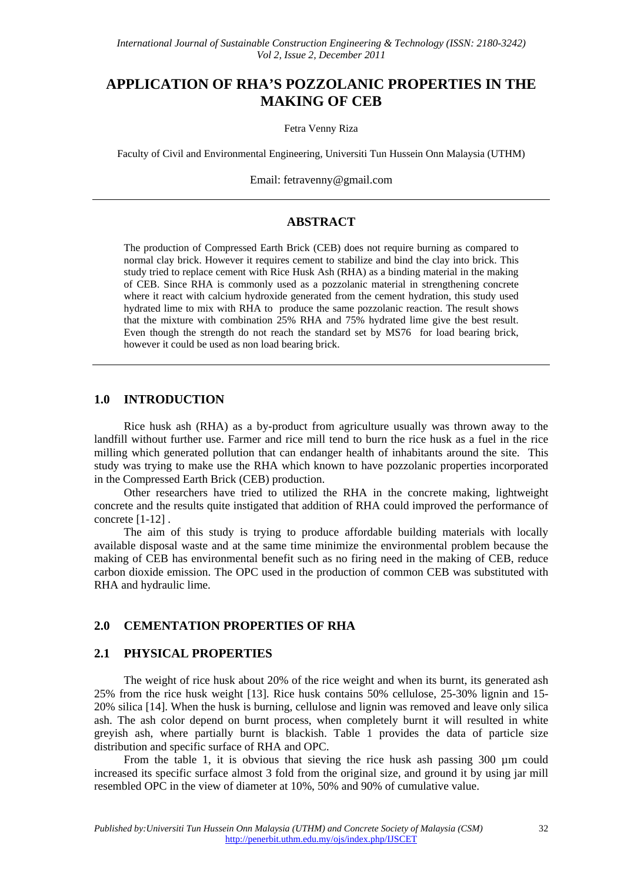# **APPLICATION OF RHA'S POZZOLANIC PROPERTIES IN THE MAKING OF CEB**

Fetra Venny Riza

Faculty of Civil and Environmental Engineering, Universiti Tun Hussein Onn Malaysia (UTHM)

Email: fetravenny@gmail.com

## **ABSTRACT**

The production of Compressed Earth Brick (CEB) does not require burning as compared to normal clay brick. However it requires cement to stabilize and bind the clay into brick. This study tried to replace cement with Rice Husk Ash (RHA) as a binding material in the making of CEB. Since RHA is commonly used as a pozzolanic material in strengthening concrete where it react with calcium hydroxide generated from the cement hydration, this study used hydrated lime to mix with RHA to produce the same pozzolanic reaction. The result shows that the mixture with combination 25% RHA and 75% hydrated lime give the best result. Even though the strength do not reach the standard set by MS76 for load bearing brick, however it could be used as non load bearing brick.

## **1.0 INTRODUCTION**

Rice husk ash (RHA) as a by-product from agriculture usually was thrown away to the landfill without further use. Farmer and rice mill tend to burn the rice husk as a fuel in the rice milling which generated pollution that can endanger health of inhabitants around the site. This study was trying to make use the RHA which known to have pozzolanic properties incorporated in the Compressed Earth Brick (CEB) production.

Other researchers have tried to utilized the RHA in the concrete making, lightweight concrete and the results quite instigated that addition of RHA could improved the performance of concrete [1-12] .

The aim of this study is trying to produce affordable building materials with locally available disposal waste and at the same time minimize the environmental problem because the making of CEB has environmental benefit such as no firing need in the making of CEB, reduce carbon dioxide emission. The OPC used in the production of common CEB was substituted with RHA and hydraulic lime.

## **2.0 CEMENTATION PROPERTIES OF RHA**

#### **2.1 PHYSICAL PROPERTIES**

The weight of rice husk about 20% of the rice weight and when its burnt, its generated ash 25% from the rice husk weight [13]. Rice husk contains 50% cellulose, 25-30% lignin and 15- 20% silica [14]. When the husk is burning, cellulose and lignin was removed and leave only silica ash. The ash color depend on burnt process, when completely burnt it will resulted in white greyish ash, where partially burnt is blackish. Table 1 provides the data of particle size distribution and specific surface of RHA and OPC.

From the table 1, it is obvious that sieving the rice husk ash passing 300 µm could increased its specific surface almost 3 fold from the original size, and ground it by using jar mill resembled OPC in the view of diameter at 10%, 50% and 90% of cumulative value.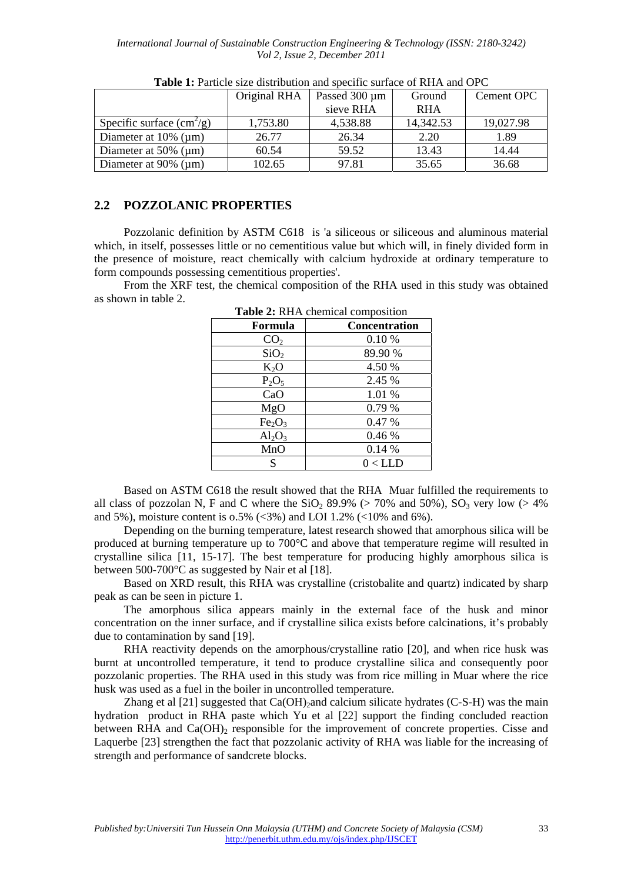*International Journal of Sustainable Construction Engineering & Technology (ISSN: 2180-3242) Vol 2, Issue 2, December 2011*

|                                | Original RHA | Passed $300 \mu m$ | Ground     | Cement OPC |
|--------------------------------|--------------|--------------------|------------|------------|
|                                |              | sieve RHA          | <b>RHA</b> |            |
| Specific surface $\rm(cm^2/g)$ | 1,753.80     | 4,538.88           | 14,342.53  | 19,027.98  |
| Diameter at $10\%$ (µm)        | 26.77        | 26.34              | 2.20       | 1.89       |
| Diameter at $50\%$ (µm)        | 60.54        | 59.52              | 13.43      | 14.44      |
| Diameter at $90\%$ (µm)        | 102.65       | 97.81              | 35.65      | 36.68      |

**Table 1:** Particle size distribution and specific surface of RHA and OPC

## **2.2 POZZOLANIC PROPERTIES**

Pozzolanic definition by ASTM C618 is 'a siliceous or siliceous and aluminous material which, in itself, possesses little or no cementitious value but which will, in finely divided form in the presence of moisture, react chemically with calcium hydroxide at ordinary temperature to form compounds possessing cementitious properties'.

From the XRF test, the chemical composition of the RHA used in this study was obtained as shown in table 2.

| $\blacksquare$                 |               |  |
|--------------------------------|---------------|--|
| Formula                        | Concentration |  |
| CO <sub>2</sub>                | 0.10%         |  |
| SiO <sub>2</sub>               | 89.90 %       |  |
| $K_2O$                         | 4.50 %        |  |
| $P_2O_5$                       | 2.45 %        |  |
| CaO                            | 1.01 %        |  |
| MgO                            | 0.79%         |  |
| Fe <sub>2</sub> O <sub>3</sub> | 0.47 %        |  |
| $Al_2O_3$                      | 0.46%         |  |
| MnO                            | 0.14%         |  |
| S                              | $0$ < LLD     |  |

**Table 2:** RHA chemical composition

Based on ASTM C618 the result showed that the RHA Muar fulfilled the requirements to all class of pozzolan N, F and C where the  $SiO<sub>2</sub> 89.9%$  (> 70% and 50%),  $SO<sub>3</sub>$  very low (> 4%) and 5%), moisture content is  $0.5\%$  (<3%) and LOI 1.2% (<10% and 6%).

Depending on the burning temperature, latest research showed that amorphous silica will be produced at burning temperature up to 700°C and above that temperature regime will resulted in crystalline silica [11, 15-17]. The best temperature for producing highly amorphous silica is between 500-700 °C as suggested by Nair et al [18].

Based on XRD result, this RHA was crystalline (cristobalite and quartz) indicated by sharp peak as can be seen in picture 1.

The amorphous silica appears mainly in the external face of the husk and minor concentration on the inner surface, and if crystalline silica exists before calcinations, it's probably due to contamination by sand [19].

RHA reactivity depends on the amorphous/crystalline ratio [20], and when rice husk was burnt at uncontrolled temperature, it tend to produce crystalline silica and consequently poor pozzolanic properties. The RHA used in this study was from rice milling in Muar where the rice husk was used as a fuel in the boiler in uncontrolled temperature.

Zhang et al  $[21]$  suggested that Ca(OH)<sub>2</sub> and calcium silicate hydrates (C-S-H) was the main hydration product in RHA paste which Yu et al [22] support the finding concluded reaction between RHA and  $Ca(OH)$ <sub>2</sub> responsible for the improvement of concrete properties. Cisse and Laquerbe [23] strengthen the fact that pozzolanic activity of RHA was liable for the increasing of strength and performance of sandcrete blocks.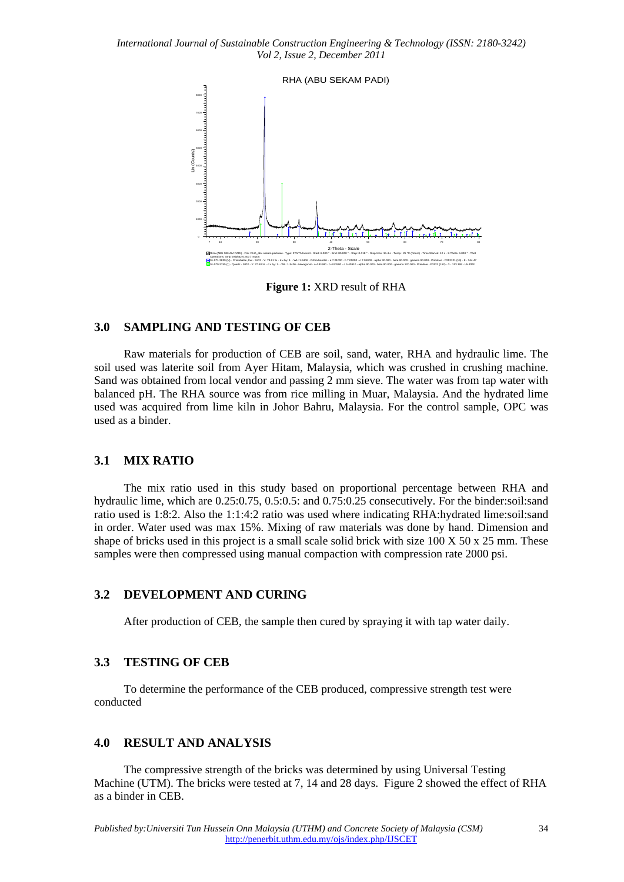*International Journal of Sustainable Construction Engineering & Technology (ISSN: 2180-3242) Vol 2, Issue 2, December 2011*



**Figure 1:** XRD result of RHA

## **3.0 SAMPLING AND TESTING OF CEB**

Raw materials for production of CEB are soil, sand, water, RHA and hydraulic lime. The soil used was laterite soil from Ayer Hitam, Malaysia, which was crushed in crushing machine. Sand was obtained from local vendor and passing 2 mm sieve. The water was from tap water with balanced pH. The RHA source was from rice milling in Muar, Malaysia. And the hydrated lime used was acquired from lime kiln in Johor Bahru, Malaysia. For the control sample, OPC was used as a binder.

#### **3.1 MIX RATIO**

The mix ratio used in this study based on proportional percentage between RHA and hydraulic lime, which are 0.25:0.75, 0.5:0.5: and 0.75:0.25 consecutively. For the binder:soil:sand ratio used is 1:8:2. Also the 1:1:4:2 ratio was used where indicating RHA:hydrated lime:soil:sand in order. Water used was max 15%. Mixing of raw materials was done by hand. Dimension and shape of bricks used in this project is a small scale solid brick with size  $100 \times 50 \times 25$  mm. These samples were then compressed using manual compaction with compression rate 2000 psi.

#### **3.2 DEVELOPMENT AND CURING**

After production of CEB, the sample then cured by spraying it with tap water daily.

## **3.3 TESTING OF CEB**

To determine the performance of the CEB produced, compressive strength test were conducted

## **4.0 RESULT AND ANALYSIS**

The compressive strength of the bricks was determined by using Universal Testing Machine (UTM). The bricks were tested at 7, 14 and 28 days. Figure 2 showed the effect of RHA as a binder in CEB.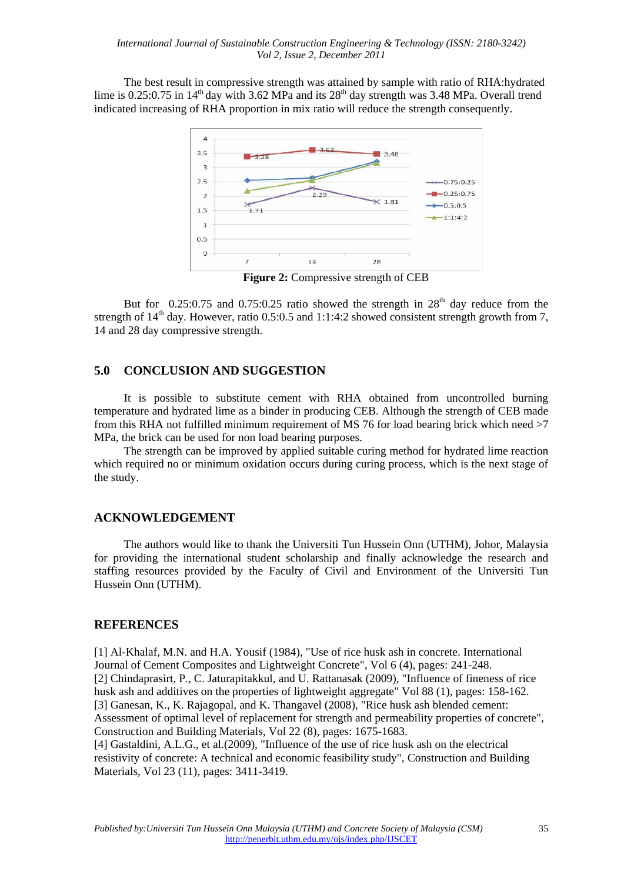The best result in compressive strength was attained by sample with ratio of RHA:hydrated lime is 0.25:0.75 in  $14<sup>th</sup>$  day with 3.62 MPa and its  $28<sup>th</sup>$  day strength was 3.48 MPa. Overall trend indicated increasing of RHA proportion in mix ratio will reduce the strength consequently.



**Figure 2:** Compressive strength of CEB

But for  $0.25:0.75$  and  $0.75:0.25$  ratio showed the strength in  $28<sup>th</sup>$  day reduce from the strength of  $14<sup>th</sup>$  day. However, ratio 0.5:0.5 and 1:1:4:2 showed consistent strength growth from 7, 14 and 28 day compressive strength.

## **5.0 CONCLUSION AND SUGGESTION**

It is possible to substitute cement with RHA obtained from uncontrolled burning temperature and hydrated lime as a binder in producing CEB. Although the strength of CEB made from this RHA not fulfilled minimum requirement of MS 76 for load bearing brick which need >7 MPa, the brick can be used for non load bearing purposes.

The strength can be improved by applied suitable curing method for hydrated lime reaction which required no or minimum oxidation occurs during curing process, which is the next stage of the study.

#### **ACKNOWLEDGEMENT**

The authors would like to thank the Universiti Tun Hussein Onn (UTHM), Johor, Malaysia for providing the international student scholarship and finally acknowledge the research and staffing resources provided by the Faculty of Civil and Environment of the Universiti Tun Hussein Onn (UTHM).

## **REFERENCES**

[1] Al-Khalaf, M.N. and H.A. Yousif (1984), "Use of rice husk ash in concrete. International Journal of Cement Composites and Lightweight Concrete", Vol 6 (4), pages: 241-248. [2] Chindaprasirt, P., C. Jaturapitakkul, and U. Rattanasak (2009), "Influence of fineness of rice husk ash and additives on the properties of lightweight aggregate" Vol 88 (1), pages: 158-162. [3] Ganesan, K., K. Rajagopal, and K. Thangavel (2008), "Rice husk ash blended cement: Assessment of optimal level of replacement for strength and permeability properties of concrete", Construction and Building Materials, Vol 22 (8), pages: 1675-1683.

[4] Gastaldini, A.L.G., et al.(2009), "Influence of the use of rice husk ash on the electrical resistivity of concrete: A technical and economic feasibility study", Construction and Building Materials, Vol 23 (11), pages: 3411-3419.